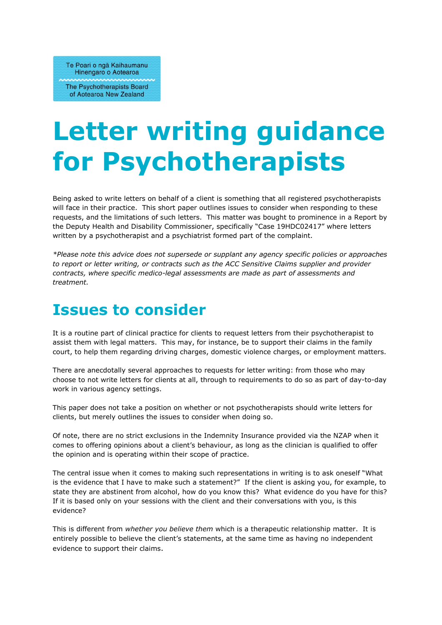Te Poari o nga Kaihaumanu Hinengaro o Aotearoa

The Psychotherapists Board of Aotearoa New Zealand

## **Letter writing guidance for Psychotherapists**

Being asked to write letters on behalf of a client is something that all registered psychotherapists will face in their practice. This short paper outlines issues to consider when responding to these requests, and the limitations of such letters. This matter was bought to prominence in a Report by the Deputy Health and Disability Commissioner, specifically "Case 19HDC02417" where letters written by a psychotherapist and a psychiatrist formed part of the complaint.

*\*Please note this advice does not supersede or supplant any agency specific policies or approaches to report or letter writing, or contracts such as the ACC Sensitive Claims supplier and provider contracts, where specific medico-legal assessments are made as part of assessments and treatment.*

## **Issues to consider**

It is a routine part of clinical practice for clients to request letters from their psychotherapist to assist them with legal matters. This may, for instance, be to support their claims in the family court, to help them regarding driving charges, domestic violence charges, or employment matters.

There are anecdotally several approaches to requests for letter writing: from those who may choose to not write letters for clients at all, through to requirements to do so as part of day-to-day work in various agency settings.

This paper does not take a position on whether or not psychotherapists should write letters for clients, but merely outlines the issues to consider when doing so.

Of note, there are no strict exclusions in the Indemnity Insurance provided via the NZAP when it comes to offering opinions about a client's behaviour, as long as the clinician is qualified to offer the opinion and is operating within their scope of practice.

The central issue when it comes to making such representations in writing is to ask oneself "What is the evidence that I have to make such a statement?" If the client is asking you, for example, to state they are abstinent from alcohol, how do you know this? What evidence do you have for this? If it is based only on your sessions with the client and their conversations with you, is this evidence?

This is different from *whether you believe them* which is a therapeutic relationship matter. It is entirely possible to believe the client's statements, at the same time as having no independent evidence to support their claims.